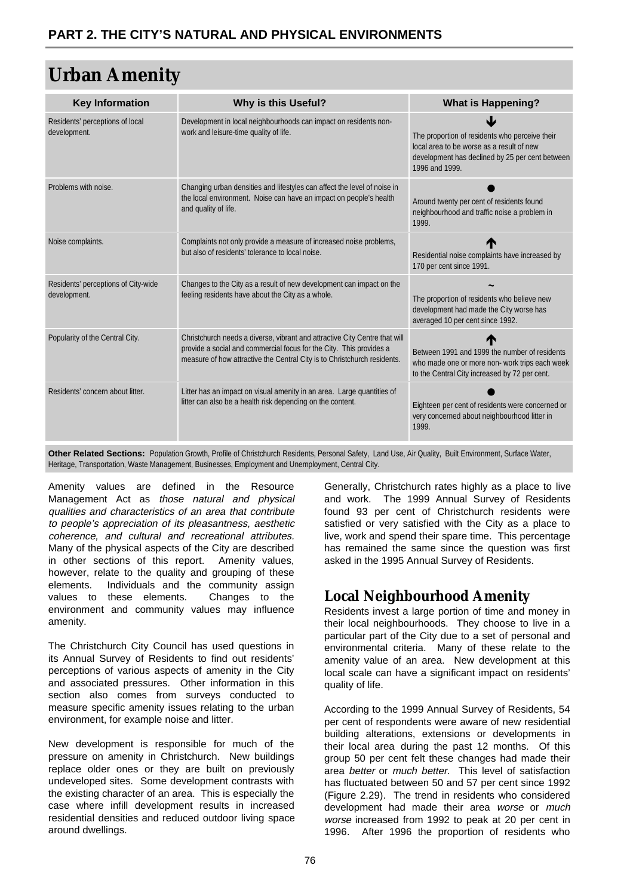# **Urban Amenity**

| <b>Key Information</b>                              | <b>Why is this Useful?</b>                                                                                                                                                                                                    | <b>What is Happening?</b>                                                                                                                                        |
|-----------------------------------------------------|-------------------------------------------------------------------------------------------------------------------------------------------------------------------------------------------------------------------------------|------------------------------------------------------------------------------------------------------------------------------------------------------------------|
| Residents' perceptions of local<br>development.     | Development in local neighbourhoods can impact on residents non-<br>work and leisure-time quality of life.                                                                                                                    | The proportion of residents who perceive their<br>local area to be worse as a result of new<br>development has declined by 25 per cent between<br>1996 and 1999. |
| Problems with noise.                                | Changing urban densities and lifestyles can affect the level of noise in<br>the local environment. Noise can have an impact on people's health<br>and quality of life.                                                        | Around twenty per cent of residents found<br>neighbourhood and traffic noise a problem in<br>1999.                                                               |
| Noise complaints.                                   | Complaints not only provide a measure of increased noise problems,<br>but also of residents' tolerance to local noise.                                                                                                        | Residential noise complaints have increased by<br>170 per cent since 1991.                                                                                       |
| Residents' perceptions of City-wide<br>development. | Changes to the City as a result of new development can impact on the<br>feeling residents have about the City as a whole.                                                                                                     | The proportion of residents who believe new<br>development had made the City worse has<br>averaged 10 per cent since 1992.                                       |
| Popularity of the Central City.                     | Christchurch needs a diverse, vibrant and attractive City Centre that will<br>provide a social and commercial focus for the City. This provides a<br>measure of how attractive the Central City is to Christchurch residents. | Between 1991 and 1999 the number of residents<br>who made one or more non- work trips each week<br>to the Central City increased by 72 per cent.                 |
| Residents' concern about litter.                    | Litter has an impact on visual amenity in an area. Large quantities of<br>litter can also be a health risk depending on the content.                                                                                          | Eighteen per cent of residents were concerned or<br>very concerned about neighbourhood litter in<br>1999.                                                        |

**Other Related Sections:** Population Growth, Profile of Christchurch Residents, Personal Safety, Land Use, Air Quality, Built Environment, Surface Water, Heritage, Transportation, Waste Management, Businesses, Employment and Unemployment, Central City.

Amenity values are defined in the Resource Management Act as those natural and physical qualities and characteristics of an area that contribute to people's appreciation of its pleasantness, aesthetic coherence, and cultural and recreational attributes. Many of the physical aspects of the City are described in other sections of this report. Amenity values, however, relate to the quality and grouping of these elements. Individuals and the community assign values to these elements. Changes to the environment and community values may influence amenity.

The Christchurch City Council has used questions in its Annual Survey of Residents to find out residents' perceptions of various aspects of amenity in the City and associated pressures. Other information in this section also comes from surveys conducted to measure specific amenity issues relating to the urban environment, for example noise and litter.

New development is responsible for much of the pressure on amenity in Christchurch. New buildings replace older ones or they are built on previously undeveloped sites. Some development contrasts with the existing character of an area. This is especially the case where infill development results in increased residential densities and reduced outdoor living space around dwellings.

Generally, Christchurch rates highly as a place to live and work. The [1999 Annual Survey of Residents](http://www.ccc.govt.nz/ResidentsSurvey/) found 93 per cent of Christchurch residents were satisfied or very satisfied with the City as a place to live, work and spend their spare time. This percentage has remained the same since the question was first asked in the 1995 Annual Survey of Residents.

# **Local Neighbourhood Amenity**

Residents invest a large portion of time and money in their local neighbourhoods. They choose to live in a particular part of the City due to a set of personal and environmental criteria. Many of these relate to the amenity value of an area. New development at this local scale can have a significant impact on residents' quality of life.

According to the 1999 Annual Survey of Residents, 54 per cent of respondents were aware of new residential building alterations, extensions or developments in their local area during the past 12 months. Of this group 50 per cent felt these changes had made their area better or much better. This level of satisfaction has fluctuated between 50 and 57 per cent since 1992 (Figure 2.29). The trend in residents who considered development had made their area worse or much worse increased from 1992 to peak at 20 per cent in 1996. After 1996 the proportion of residents who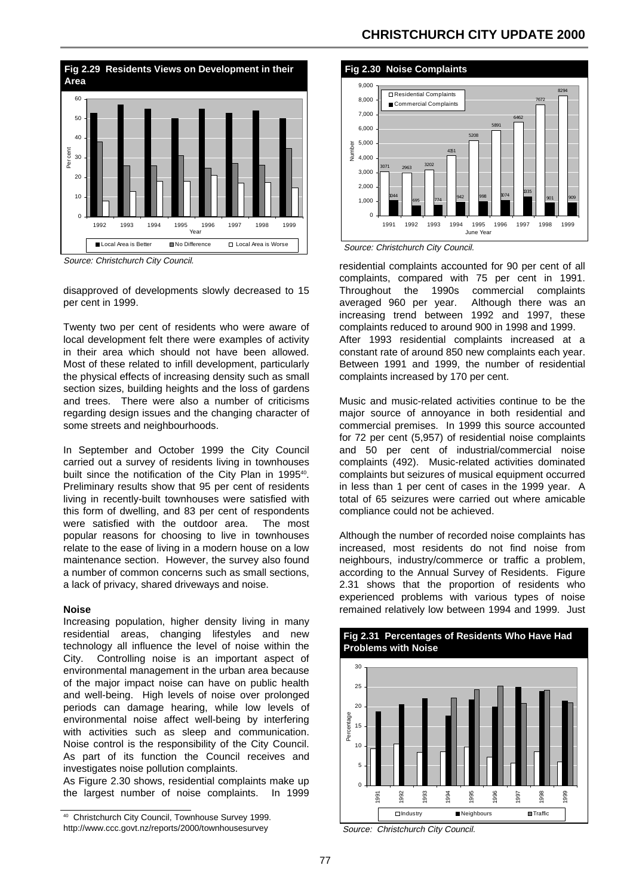

Source: Christchurch City Council.

disapproved of developments slowly decreased to 15 per cent in 1999.

Twenty two per cent of residents who were aware of local development felt there were examples of activity in their area which should not have been allowed. Most of these related to infill development, particularly the physical effects of increasing density such as small section sizes, building heights and the loss of gardens and trees. There were also a number of criticisms regarding design issues and the changing character of some streets and neighbourhoods.

In September and October 1999 the City Council carried out a survey of residents living in townhouses built since the notification of the City Plan in 1995<sup>40</sup>. Preliminary results show that 95 per cent of residents living in recently-built townhouses were satisfied with this form of dwelling, and 83 per cent of respondents were satisfied with the outdoor area. The most popular reasons for choosing to live in townhouses relate to the ease of living in a modern house on a low maintenance section. However, the survey also found a number of common concerns such as small sections, a lack of privacy, shared driveways and noise.

#### **Noise**

Increasing population, higher density living in many residential areas, changing lifestyles and new technology all influence the level of noise within the City. Controlling noise is an important aspect of environmental management in the urban area because of the major impact noise can have on public health and well-being. High levels of noise over prolonged periods can damage hearing, while low levels of environmental noise affect well-being by interfering with activities such as sleep and communication. Noise control is the responsibility of the City Council. As part of its function the Council receives and investigates noise pollution complaints.

As Figure 2.30 shows, residential complaints make up the largest number of noise complaints. In 1999

### **CHRISTCHURCH CITY UPDATE 2000**





residential complaints accounted for 90 per cent of all complaints, compared with 75 per cent in 1991. Throughout the 1990s commercial complaints averaged 960 per year. Although there was an increasing trend between 1992 and 1997, these complaints reduced to around 900 in 1998 and 1999. After 1993 residential complaints increased at a constant rate of around 850 new complaints each year. Between 1991 and 1999, the number of residential complaints increased by 170 per cent.

Music and music-related activities continue to be the major source of annoyance in both residential and commercial premises. In 1999 this source accounted for 72 per cent (5,957) of residential noise complaints and 50 per cent of industrial/commercial noise complaints (492). Music-related activities dominated complaints but seizures of musical equipment occurred in less than 1 per cent of cases in the 1999 year. A total of 65 seizures were carried out where amicable compliance could not be achieved.

Although the number of recorded noise complaints has increased, most residents do not find noise from neighbours, industry/commerce or traffic a problem, according to the Annual Survey of Residents. Figure 2.31 shows that the proportion of residents who experienced problems with various types of noise remained relatively low between 1994 and 1999. Just



Source: Christchurch City Council.

[<sup>40</sup> Christchurch City Council, Townhouse Survey 1999.](http://www.ccc.govt.nz/reports/2000/townhousesurvey/)  http://www.ccc.govt.nz/reports/2000/townhousesurvey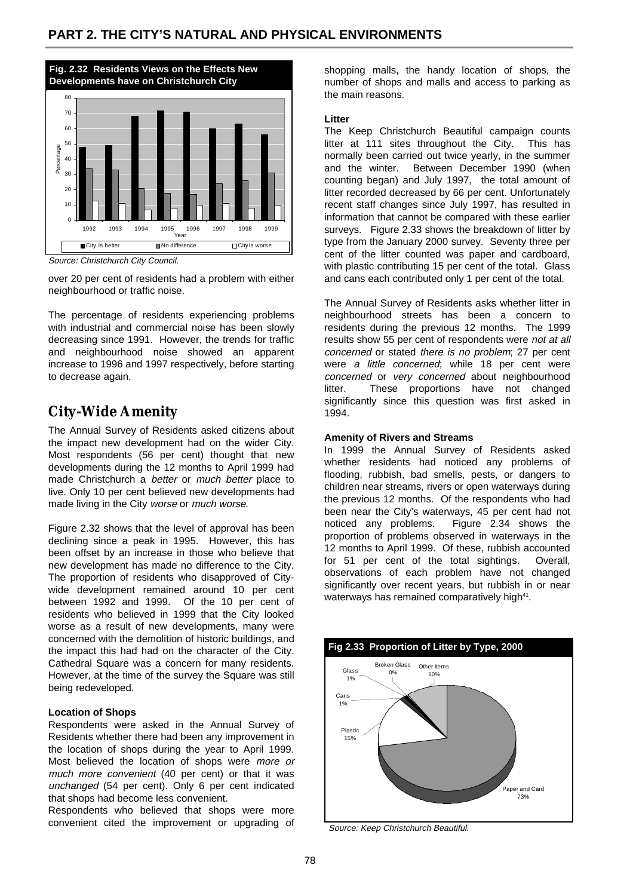

Source: Christchurch City Council.

over 20 per cent of residents had a problem with either neighbourhood or traffic noise.

The percentage of residents experiencing problems with industrial and commercial noise has been slowly decreasing since 1991. However, the trends for traffic and neighbourhood noise showed an apparent increase to 1996 and 1997 respectively, before starting to decrease again.

# **City-Wide Amenity**

The Annual Survey of Residents asked citizens about the impact new development had on the wider City. Most respondents (56 per cent) thought that new developments during the 12 months to April 1999 had made Christchurch a better or much better place to live. Only 10 per cent believed new developments had made living in the City worse or much worse.

Figure 2.32 shows that the level of approval has been declining since a peak in 1995. However, this has been offset by an increase in those who believe that new development has made no difference to the City. The proportion of residents who disapproved of Citywide development remained around 10 per cent between 1992 and 1999. Of the 10 per cent of residents who believed in 1999 that the City looked worse as a result of new developments, many were concerned with the demolition of historic buildings, and the impact this had had on the character of the City. Cathedral Square was a concern for many residents. However, at the time of the survey the Square was still being redeveloped.

#### **Location of Shops**

Respondents were asked in the Annual Survey of Residents whether there had been any improvement in the location of shops during the year to April 1999. Most believed the location of shops were more or much more convenient (40 per cent) or that it was unchanged (54 per cent). Only 6 per cent indicated that shops had become less convenient.

Respondents who believed that shops were more convenient cited the improvement or upgrading of

shopping malls, the handy location of shops, the number of shops and malls and access to parking as the main reasons.

#### **Litter**

The Keep Christchurch Beautiful campaign counts litter at 111 sites throughout the City. This has normally been carried out twice yearly, in the summer and the winter. Between December 1990 (when counting began) and July 1997, the total amount of litter recorded decreased by 66 per cent. Unfortunately recent staff changes since July 1997, has resulted in information that cannot be compared with these earlier surveys. Figure 2.33 shows the breakdown of litter by type from the January 2000 survey. Seventy three per cent of the litter counted was paper and cardboard, with plastic contributing 15 per cent of the total. Glass and cans each contributed only 1 per cent of the total.

The Annual Survey of Residents asks whether litter in neighbourhood streets has been a concern to residents during the previous 12 months. The 1999 results show 55 per cent of respondents were not at all concerned or stated there is no problem; 27 per cent were a little concerned; while 18 per cent were concerned or very concerned about neighbourhood litter. These proportions have not changed significantly since this question was first asked in 1994.

#### **Amenity of Rivers and Streams**

In 1999 the Annual Survey of Residents asked whether residents had noticed any problems of flooding, rubbish, bad smells, pests, or dangers to children near streams, rivers or open waterways during the previous 12 months. Of the respondents who had been near the City's waterways, 45 per cent had not noticed any problems. Figure 2.34 shows the proportion of problems observed in waterways in the 12 months to April 1999. Of these, rubbish accounted for 51 per cent of the total sightings. Overall, observations of each problem have not changed significantly over recent years, but rubbish in or near waterways has remained comparatively high<sup>41</sup>.



Source: Keep Christchurch Beautiful.